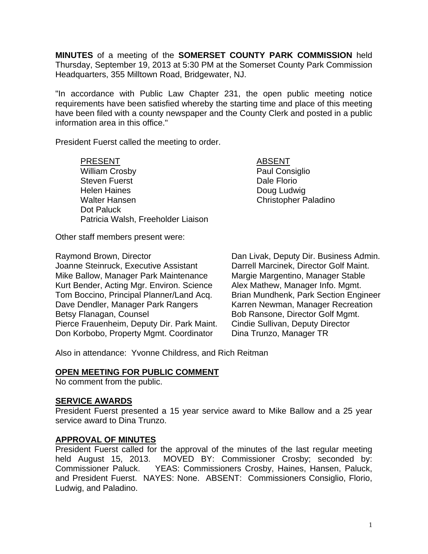**MINUTES** of a meeting of the **SOMERSET COUNTY PARK COMMISSION** held Thursday, September 19, 2013 at 5:30 PM at the Somerset County Park Commission Headquarters, 355 Milltown Road, Bridgewater, NJ.

"In accordance with Public Law Chapter 231, the open public meeting notice requirements have been satisfied whereby the starting time and place of this meeting have been filed with a county newspaper and the County Clerk and posted in a public information area in this office."

President Fuerst called the meeting to order.

PRESENT ABSENT William Crosby **Paul Consiglio** Steven Fuerst **Dale Florio Dale Florio** Helen Haines **Doug Ludwig** Walter Hansen Christopher Paladino Dot Paluck Patricia Walsh, Freeholder Liaison

Other staff members present were:

Joanne Steinruck, Executive Assistant Mike Ballow, Manager Park Maintenance Margie Margentino, Manager Stable Kurt Bender, Acting Mgr. Environ. Science Alex Mathew, Manager Info. Mgmt. Tom Boccino, Principal Planner/Land Acq. Brian Mundhenk, Park Section Engineer Dave Dendler, Manager Park Rangers Karren Newman, Manager Recreation<br>Betsy Flanagan, Counsel Bob Ransone, Director Golf Mgmt. Pierce Frauenheim, Deputy Dir. Park Maint. Cindie Sullivan, Deputy Director Don Korbobo, Property Mgmt. Coordinator Dina Trunzo, Manager TR

Raymond Brown, Director **Dan Livak, Deputy Dir. Business Admin.**<br>Joanne Steinruck. Executive Assistant Darrell Marcinek. Director Golf Maint. Bob Ransone, Director Golf Mgmt.

Also in attendance: Yvonne Childress, and Rich Reitman

## **OPEN MEETING FOR PUBLIC COMMENT**

No comment from the public.

#### **SERVICE AWARDS**

President Fuerst presented a 15 year service award to Mike Ballow and a 25 year service award to Dina Trunzo.

#### **APPROVAL OF MINUTES**

President Fuerst called for the approval of the minutes of the last regular meeting held August 15, 2013. MOVED BY: Commissioner Crosby; seconded by: Commissioner Paluck. YEAS: Commissioners Crosby, Haines, Hansen, Paluck, and President Fuerst. NAYES: None. ABSENT: Commissioners Consiglio, Florio, Ludwig, and Paladino.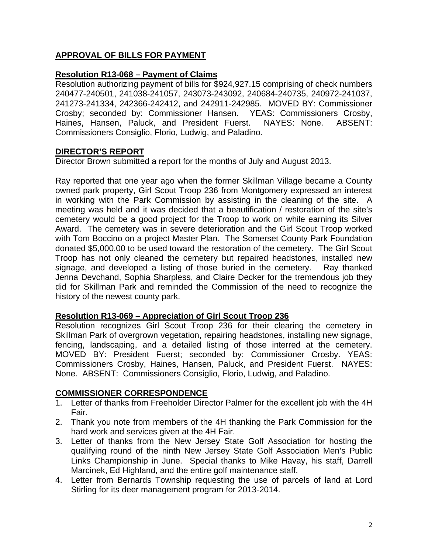# **APPROVAL OF BILLS FOR PAYMENT**

# **Resolution R13-068 – Payment of Claims**

Resolution authorizing payment of bills for \$924,927.15 comprising of check numbers 240477-240501, 241038-241057, 243073-243092, 240684-240735, 240972-241037, 241273-241334, 242366-242412, and 242911-242985. MOVED BY: Commissioner Crosby; seconded by: Commissioner Hansen. YEAS: Commissioners Crosby, Haines, Hansen, Paluck, and President Fuerst. NAYES: None. ABSENT: Commissioners Consiglio, Florio, Ludwig, and Paladino.

# **DIRECTOR'S REPORT**

Director Brown submitted a report for the months of July and August 2013.

Ray reported that one year ago when the former Skillman Village became a County owned park property, Girl Scout Troop 236 from Montgomery expressed an interest in working with the Park Commission by assisting in the cleaning of the site. A meeting was held and it was decided that a beautification / restoration of the site's cemetery would be a good project for the Troop to work on while earning its Silver Award. The cemetery was in severe deterioration and the Girl Scout Troop worked with Tom Boccino on a project Master Plan. The Somerset County Park Foundation donated \$5,000.00 to be used toward the restoration of the cemetery. The Girl Scout Troop has not only cleaned the cemetery but repaired headstones, installed new signage, and developed a listing of those buried in the cemetery. Ray thanked Jenna Devchand, Sophia Sharpless, and Claire Decker for the tremendous job they did for Skillman Park and reminded the Commission of the need to recognize the history of the newest county park.

## **Resolution R13-069 – Appreciation of Girl Scout Troop 236**

Resolution recognizes Girl Scout Troop 236 for their clearing the cemetery in Skillman Park of overgrown vegetation, repairing headstones, installing new signage, fencing, landscaping, and a detailed listing of those interred at the cemetery. MOVED BY: President Fuerst; seconded by: Commissioner Crosby. YEAS: Commissioners Crosby, Haines, Hansen, Paluck, and President Fuerst. NAYES: None. ABSENT: Commissioners Consiglio, Florio, Ludwig, and Paladino.

## **COMMISSIONER CORRESPONDENCE**

- 1. Letter of thanks from Freeholder Director Palmer for the excellent job with the 4H Fair.
- 2. Thank you note from members of the 4H thanking the Park Commission for the hard work and services given at the 4H Fair.
- 3. Letter of thanks from the New Jersey State Golf Association for hosting the qualifying round of the ninth New Jersey State Golf Association Men's Public Links Championship in June. Special thanks to Mike Havay, his staff, Darrell Marcinek, Ed Highland, and the entire golf maintenance staff.
- 4. Letter from Bernards Township requesting the use of parcels of land at Lord Stirling for its deer management program for 2013-2014.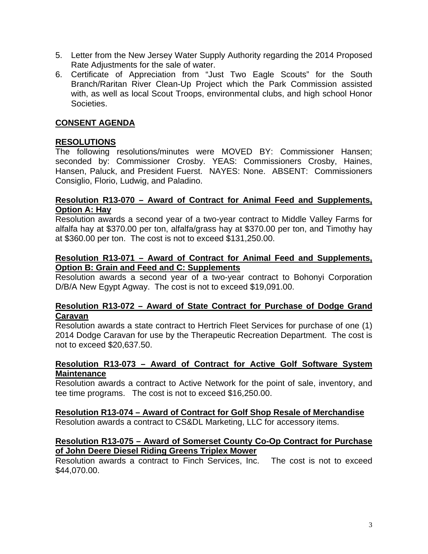- 5. Letter from the New Jersey Water Supply Authority regarding the 2014 Proposed Rate Adjustments for the sale of water.
- 6. Certificate of Appreciation from "Just Two Eagle Scouts" for the South Branch/Raritan River Clean-Up Project which the Park Commission assisted with, as well as local Scout Troops, environmental clubs, and high school Honor Societies.

## **CONSENT AGENDA**

# **RESOLUTIONS**

The following resolutions/minutes were MOVED BY: Commissioner Hansen; seconded by: Commissioner Crosby. YEAS: Commissioners Crosby, Haines, Hansen, Paluck, and President Fuerst. NAYES: None. ABSENT: Commissioners Consiglio, Florio, Ludwig, and Paladino.

#### **Resolution R13-070 – Award of Contract for Animal Feed and Supplements, Option A: Hay**

Resolution awards a second year of a two-year contract to Middle Valley Farms for alfalfa hay at \$370.00 per ton, alfalfa/grass hay at \$370.00 per ton, and Timothy hay at \$360.00 per ton. The cost is not to exceed \$131,250.00.

#### **Resolution R13-071 – Award of Contract for Animal Feed and Supplements, Option B: Grain and Feed and C: Supplements**

Resolution awards a second year of a two-year contract to Bohonyi Corporation D/B/A New Egypt Agway. The cost is not to exceed \$19,091.00.

#### **Resolution R13-072 – Award of State Contract for Purchase of Dodge Grand Caravan**

Resolution awards a state contract to Hertrich Fleet Services for purchase of one (1) 2014 Dodge Caravan for use by the Therapeutic Recreation Department. The cost is not to exceed \$20,637.50.

#### **Resolution R13-073 – Award of Contract for Active Golf Software System Maintenance**

Resolution awards a contract to Active Network for the point of sale, inventory, and tee time programs. The cost is not to exceed \$16,250.00.

## **Resolution R13-074 – Award of Contract for Golf Shop Resale of Merchandise**

Resolution awards a contract to CS&DL Marketing, LLC for accessory items.

#### **Resolution R13-075 – Award of Somerset County Co-Op Contract for Purchase of John Deere Diesel Riding Greens Triplex Mower**

Resolution awards a contract to Finch Services, Inc. The cost is not to exceed \$44,070.00.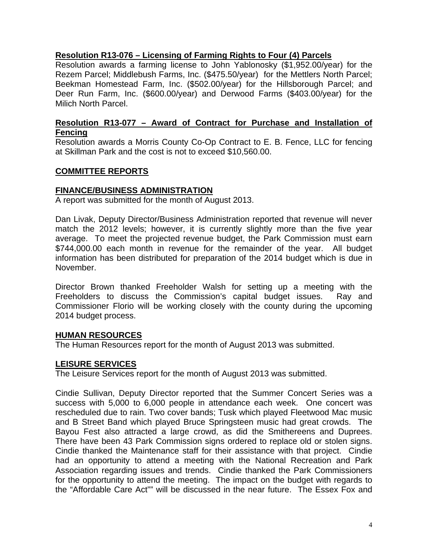# **Resolution R13-076 – Licensing of Farming Rights to Four (4) Parcels**

Resolution awards a farming license to John Yablonosky (\$1,952.00/year) for the Rezem Parcel; Middlebush Farms, Inc. (\$475.50/year) for the Mettlers North Parcel; Beekman Homestead Farm, Inc. (\$502.00/year) for the Hillsborough Parcel; and Deer Run Farm, Inc. (\$600.00/year) and Derwood Farms (\$403.00/year) for the Milich North Parcel.

## **Resolution R13-077 – Award of Contract for Purchase and Installation of Fencing**

Resolution awards a Morris County Co-Op Contract to E. B. Fence, LLC for fencing at Skillman Park and the cost is not to exceed \$10,560.00.

## **COMMITTEE REPORTS**

#### **FINANCE/BUSINESS ADMINISTRATION**

A report was submitted for the month of August 2013.

Dan Livak, Deputy Director/Business Administration reported that revenue will never match the 2012 levels; however, it is currently slightly more than the five year average. To meet the projected revenue budget, the Park Commission must earn \$744,000.00 each month in revenue for the remainder of the year. All budget information has been distributed for preparation of the 2014 budget which is due in November.

Director Brown thanked Freeholder Walsh for setting up a meeting with the Freeholders to discuss the Commission's capital budget issues. Ray and Commissioner Florio will be working closely with the county during the upcoming 2014 budget process.

#### **HUMAN RESOURCES**

The Human Resources report for the month of August 2013 was submitted.

#### **LEISURE SERVICES**

The Leisure Services report for the month of August 2013 was submitted.

Cindie Sullivan, Deputy Director reported that the Summer Concert Series was a success with 5,000 to 6,000 people in attendance each week. One concert was rescheduled due to rain. Two cover bands; Tusk which played Fleetwood Mac music and B Street Band which played Bruce Springsteen music had great crowds. The Bayou Fest also attracted a large crowd, as did the Smithereens and Duprees. There have been 43 Park Commission signs ordered to replace old or stolen signs. Cindie thanked the Maintenance staff for their assistance with that project. Cindie had an opportunity to attend a meeting with the National Recreation and Park Association regarding issues and trends. Cindie thanked the Park Commissioners for the opportunity to attend the meeting. The impact on the budget with regards to the "Affordable Care Act"" will be discussed in the near future. The Essex Fox and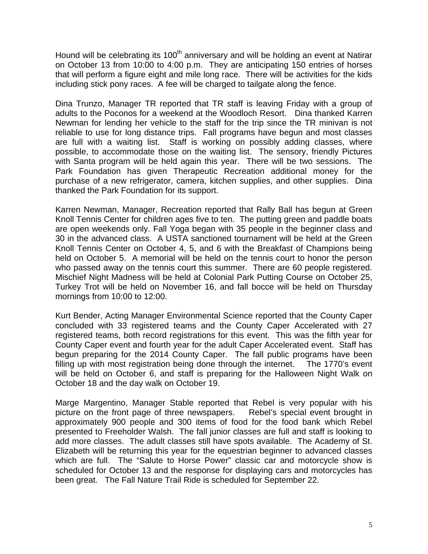Hound will be celebrating its 100<sup>th</sup> anniversary and will be holding an event at Natirar on October 13 from 10:00 to 4:00 p.m. They are anticipating 150 entries of horses that will perform a figure eight and mile long race. There will be activities for the kids including stick pony races. A fee will be charged to tailgate along the fence.

Dina Trunzo, Manager TR reported that TR staff is leaving Friday with a group of adults to the Poconos for a weekend at the Woodloch Resort. Dina thanked Karren Newman for lending her vehicle to the staff for the trip since the TR minivan is not reliable to use for long distance trips. Fall programs have begun and most classes are full with a waiting list. Staff is working on possibly adding classes, where possible, to accommodate those on the waiting list. The sensory, friendly Pictures with Santa program will be held again this year. There will be two sessions. The Park Foundation has given Therapeutic Recreation additional money for the purchase of a new refrigerator, camera, kitchen supplies, and other supplies. Dina thanked the Park Foundation for its support.

Karren Newman, Manager, Recreation reported that Rally Ball has begun at Green Knoll Tennis Center for children ages five to ten. The putting green and paddle boats are open weekends only. Fall Yoga began with 35 people in the beginner class and 30 in the advanced class. A USTA sanctioned tournament will be held at the Green Knoll Tennis Center on October 4, 5, and 6 with the Breakfast of Champions being held on October 5. A memorial will be held on the tennis court to honor the person who passed away on the tennis court this summer. There are 60 people registered. Mischief Night Madness will be held at Colonial Park Putting Course on October 25, Turkey Trot will be held on November 16, and fall bocce will be held on Thursday mornings from 10:00 to 12:00.

Kurt Bender, Acting Manager Environmental Science reported that the County Caper concluded with 33 registered teams and the County Caper Accelerated with 27 registered teams, both record registrations for this event. This was the fifth year for County Caper event and fourth year for the adult Caper Accelerated event. Staff has begun preparing for the 2014 County Caper. The fall public programs have been filling up with most registration being done through the internet. The 1770's event will be held on October 6, and staff is preparing for the Halloween Night Walk on October 18 and the day walk on October 19.

Marge Margentino, Manager Stable reported that Rebel is very popular with his picture on the front page of three newspapers. Rebel's special event brought in approximately 900 people and 300 items of food for the food bank which Rebel presented to Freeholder Walsh. The fall junior classes are full and staff is looking to add more classes. The adult classes still have spots available. The Academy of St. Elizabeth will be returning this year for the equestrian beginner to advanced classes which are full. The "Salute to Horse Power" classic car and motorcycle show is scheduled for October 13 and the response for displaying cars and motorcycles has been great. The Fall Nature Trail Ride is scheduled for September 22.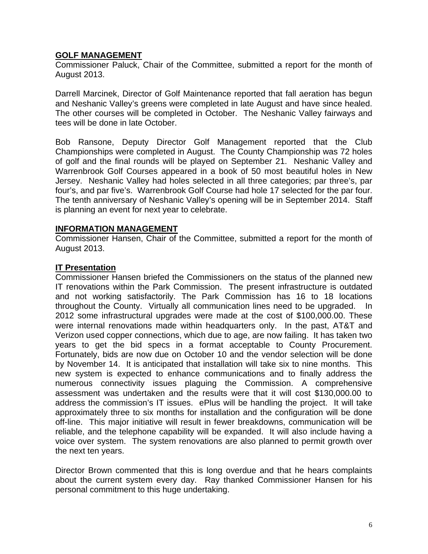# **GOLF MANAGEMENT**

Commissioner Paluck, Chair of the Committee, submitted a report for the month of August 2013.

Darrell Marcinek, Director of Golf Maintenance reported that fall aeration has begun and Neshanic Valley's greens were completed in late August and have since healed. The other courses will be completed in October. The Neshanic Valley fairways and tees will be done in late October.

Bob Ransone, Deputy Director Golf Management reported that the Club Championships were completed in August. The County Championship was 72 holes of golf and the final rounds will be played on September 21. Neshanic Valley and Warrenbrook Golf Courses appeared in a book of 50 most beautiful holes in New Jersey. Neshanic Valley had holes selected in all three categories; par three's, par four's, and par five's. Warrenbrook Golf Course had hole 17 selected for the par four. The tenth anniversary of Neshanic Valley's opening will be in September 2014. Staff is planning an event for next year to celebrate.

#### **INFORMATION MANAGEMENT**

Commissioner Hansen, Chair of the Committee, submitted a report for the month of August 2013.

## **IT Presentation**

Commissioner Hansen briefed the Commissioners on the status of the planned new IT renovations within the Park Commission. The present infrastructure is outdated and not working satisfactorily. The Park Commission has 16 to 18 locations throughout the County. Virtually all communication lines need to be upgraded. In 2012 some infrastructural upgrades were made at the cost of \$100,000.00. These were internal renovations made within headquarters only. In the past, AT&T and Verizon used copper connections, which due to age, are now failing. It has taken two years to get the bid specs in a format acceptable to County Procurement. Fortunately, bids are now due on October 10 and the vendor selection will be done by November 14. It is anticipated that installation will take six to nine months. This new system is expected to enhance communications and to finally address the numerous connectivity issues plaguing the Commission. A comprehensive assessment was undertaken and the results were that it will cost \$130,000.00 to address the commission's IT issues. ePlus will be handling the project. It will take approximately three to six months for installation and the configuration will be done off-line. This major initiative will result in fewer breakdowns, communication will be reliable, and the telephone capability will be expanded. It will also include having a voice over system. The system renovations are also planned to permit growth over the next ten years.

Director Brown commented that this is long overdue and that he hears complaints about the current system every day. Ray thanked Commissioner Hansen for his personal commitment to this huge undertaking.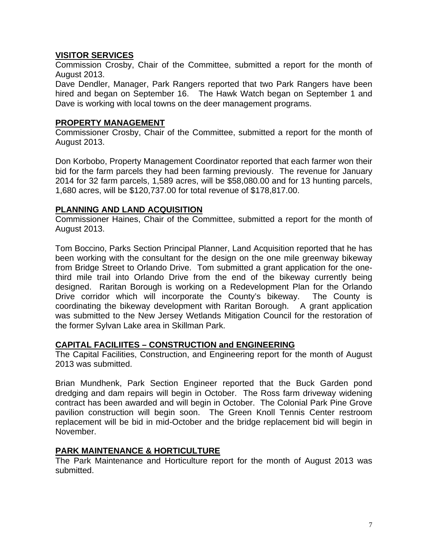# **VISITOR SERVICES**

Commission Crosby, Chair of the Committee, submitted a report for the month of August 2013.

Dave Dendler, Manager, Park Rangers reported that two Park Rangers have been hired and began on September 16. The Hawk Watch began on September 1 and Dave is working with local towns on the deer management programs.

## **PROPERTY MANAGEMENT**

Commissioner Crosby, Chair of the Committee, submitted a report for the month of August 2013.

Don Korbobo, Property Management Coordinator reported that each farmer won their bid for the farm parcels they had been farming previously. The revenue for January 2014 for 32 farm parcels, 1,589 acres, will be \$58,080.00 and for 13 hunting parcels, 1,680 acres, will be \$120,737.00 for total revenue of \$178,817.00.

# **PLANNING AND LAND ACQUISITION**

Commissioner Haines, Chair of the Committee, submitted a report for the month of August 2013.

Tom Boccino, Parks Section Principal Planner, Land Acquisition reported that he has been working with the consultant for the design on the one mile greenway bikeway from Bridge Street to Orlando Drive. Tom submitted a grant application for the onethird mile trail into Orlando Drive from the end of the bikeway currently being designed. Raritan Borough is working on a Redevelopment Plan for the Orlando Drive corridor which will incorporate the County's bikeway. The County is coordinating the bikeway development with Raritan Borough. A grant application was submitted to the New Jersey Wetlands Mitigation Council for the restoration of the former Sylvan Lake area in Skillman Park.

## **CAPITAL FACILIITES – CONSTRUCTION and ENGINEERING**

The Capital Facilities, Construction, and Engineering report for the month of August 2013 was submitted.

Brian Mundhenk, Park Section Engineer reported that the Buck Garden pond dredging and dam repairs will begin in October. The Ross farm driveway widening contract has been awarded and will begin in October. The Colonial Park Pine Grove pavilion construction will begin soon. The Green Knoll Tennis Center restroom replacement will be bid in mid-October and the bridge replacement bid will begin in November.

## **PARK MAINTENANCE & HORTICULTURE**

The Park Maintenance and Horticulture report for the month of August 2013 was submitted.